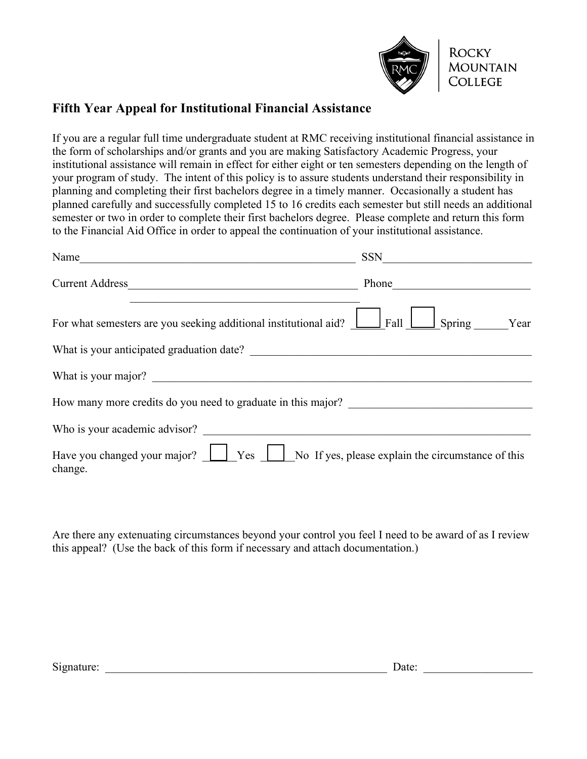

## **Fifth Year Appeal for Institutional Financial Assistance**

If you are a regular full time undergraduate student at RMC receiving institutional financial assistance in the form of scholarships and/or grants and you are making Satisfactory Academic Progress, your institutional assistance will remain in effect for either eight or ten semesters depending on the length of your program of study. The intent of this policy is to assure students understand their responsibility in planning and completing their first bachelors degree in a timely manner. Occasionally a student has planned carefully and successfully completed 15 to 16 credits each semester but still needs an additional semester or two in order to complete their first bachelors degree. Please complete and return this form to the Financial Aid Office in order to appeal the continuation of your institutional assistance.

| Name<br><u> 1989 - John Stein, Amerikaansk politiker (</u>                                                   |                                  |
|--------------------------------------------------------------------------------------------------------------|----------------------------------|
| Current Address                                                                                              | Phone                            |
| For what semesters are you seeking additional institutional aid?<br><br><br>Fall                             | $\sqrt{\frac{1}{1}}$ Spring Year |
| What is your anticipated graduation date?                                                                    |                                  |
| What is your major?                                                                                          |                                  |
| How many more credits do you need to graduate in this major?                                                 |                                  |
| Who is your academic advisor?                                                                                |                                  |
| Have you changed your major? $\Box$ Yes $\Box$ No If yes, please explain the circumstance of this<br>change. |                                  |

Are there any extenuating circumstances beyond your control you feel I need to be award of as I review this appeal? (Use the back of this form if necessary and attach documentation.)

| Signature: | Jate: |  |
|------------|-------|--|
|            |       |  |